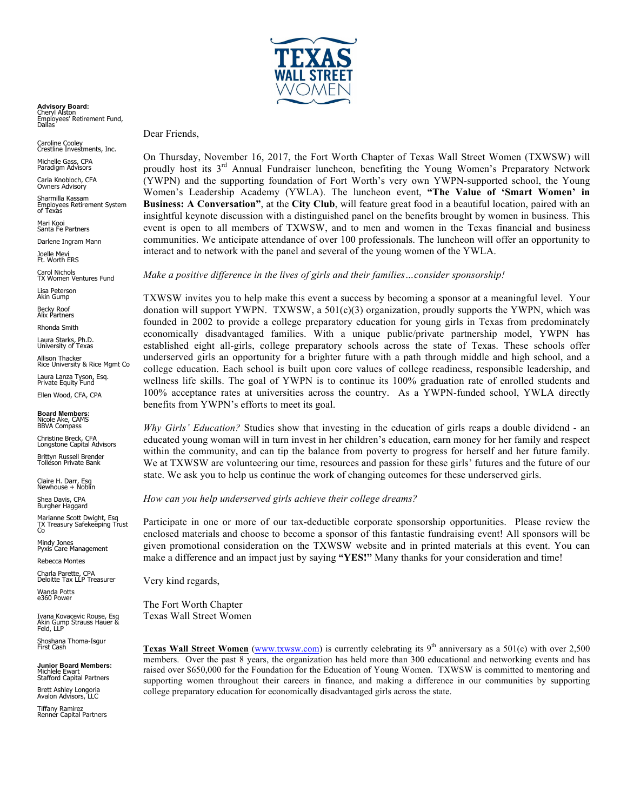

**Advisory Board:**<br>Cheryl Alston<br>Employees' Retirement Fund,<br>Dallas

Caroline Cooley<br>Crestline Investments, Inc.

Michelle Gass, CPA Paradigm Advisors

Carla Knobloch, CFA Owners Advisory

Sharmilla Kassam Employees Retirement System of Texas

Mari Kooi Santa Fe Partners

Darlene Ingram Mann

Joelle Mevi<br>Ft. Worth ERS

Carol Nichols TX Women Ventures Fund

Lisa Peterson Akin Gump

Becky Roof Alix Partners

Rhonda Smith

Laura Starks, Ph.D. University of Texas

Allison Thacker Rice University & Rice Mgmt Co Laura Lanza Tyson, Esq. Private Equity Fund

Ellen Wood, CFA, CPA

**Board Members:**  Nicole Ake, CAMS BBVA Compass

Christine Breck, CFA Longstone Capital Advisors

Brittyn Russell Brender Tolleson Private Bank

Claire H. Darr, Esq Newhouse + Noblin

Shea Davis, CPA Burgher Haggard

Marianne Scott Dwight, Esq TX Treasury Safekeeping Trust Co

Mindy Jones Pyxis Care Management

Rebecca Montes

Charla Parette, CPA Deloitte Tax LLP Treasurer

Wanda Potts e360 Power

Ivana Kovacevic Rouse, Esq Akin Gump Strauss Hauer & Feld, LLP

Shoshana Thoma-Isgur<br>First Cash

**Junior Board Members:**  Michlele Ewart Stafford Capital Partners

Brett Ashley Longoria Avalon Advisors, LLC

Tiffany Ramirez Renner Capital Partners

Dear Friends,

On Thursday, November 16, 2017, the Fort Worth Chapter of Texas Wall Street Women (TXWSW) will proudly host its 3<sup>rd</sup> Annual Fundraiser luncheon, benefiting the Young Women's Preparatory Network (YWPN) and the supporting foundation of Fort Worth's very own YWPN-supported school, the Young Women's Leadership Academy (YWLA). The luncheon event, **"The Value of 'Smart Women' in Business: A Conversation"**, at the **City Club**, will feature great food in a beautiful location, paired with an insightful keynote discussion with a distinguished panel on the benefits brought by women in business. This event is open to all members of TXWSW, and to men and women in the Texas financial and business communities. We anticipate attendance of over 100 professionals. The luncheon will offer an opportunity to interact and to network with the panel and several of the young women of the YWLA.

*Make a positive difference in the lives of girls and their families…consider sponsorship!* 

TXWSW invites you to help make this event a success by becoming a sponsor at a meaningful level. Your donation will support YWPN. TXWSW, a  $501(c)(3)$  organization, proudly supports the YWPN, which was founded in 2002 to provide a college preparatory education for young girls in Texas from predominately economically disadvantaged families. With a unique public/private partnership model, YWPN has established eight all-girls, college preparatory schools across the state of Texas. These schools offer underserved girls an opportunity for a brighter future with a path through middle and high school, and a college education. Each school is built upon core values of college readiness, responsible leadership, and wellness life skills. The goal of YWPN is to continue its 100% graduation rate of enrolled students and 100% acceptance rates at universities across the country. As a YWPN-funded school, YWLA directly benefits from YWPN's efforts to meet its goal.

*Why Girls' Education?* Studies show that investing in the education of girls reaps a double dividend - an educated young woman will in turn invest in her children's education, earn money for her family and respect within the community, and can tip the balance from poverty to progress for herself and her future family. We at TXWSW are volunteering our time, resources and passion for these girls' futures and the future of our state. We ask you to help us continue the work of changing outcomes for these underserved girls.

*How can you help underserved girls achieve their college dreams?* 

Participate in one or more of our tax-deductible corporate sponsorship opportunities. Please review the enclosed materials and choose to become a sponsor of this fantastic fundraising event! All sponsors will be given promotional consideration on the TXWSW website and in printed materials at this event. You can make a difference and an impact just by saying **"YES!"** Many thanks for your consideration and time!

Very kind regards,

The Fort Worth Chapter Texas Wall Street Women

**Texas Wall Street Women** (www.txwsw.com) is currently celebrating its  $9<sup>th</sup>$  anniversary as a 501(c) with over 2,500 members. Over the past 8 years, the organization has held more than 300 educational and networking events and has raised over \$650,000 for the Foundation for the Education of Young Women. TXWSW is committed to mentoring and supporting women throughout their careers in finance, and making a difference in our communities by supporting college preparatory education for economically disadvantaged girls across the state.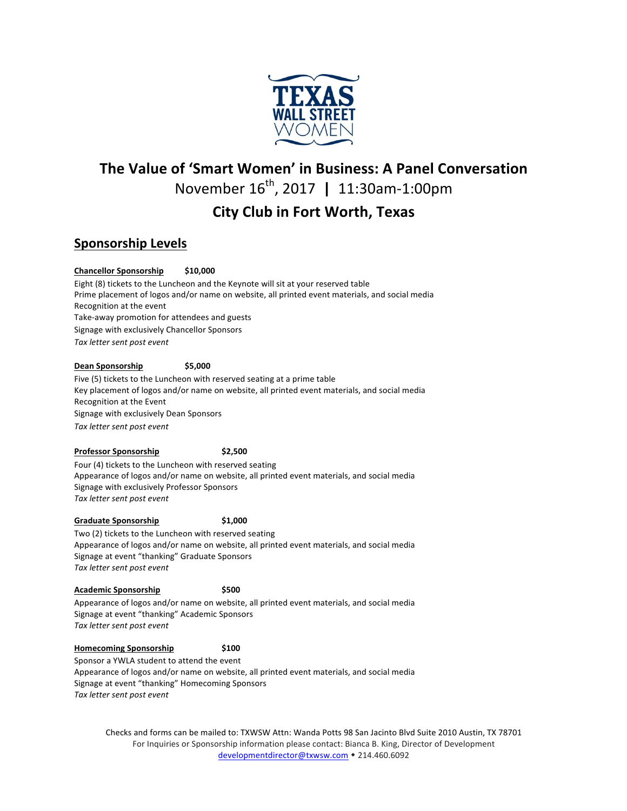

## **The Value of 'Smart Women' in Business: A Panel Conversation**

November 16<sup>th</sup>, 2017 | 11:30am-1:00pm

# **City Club in Fort Worth, Texas**

## **Sponsorship Levels**

### **Chancellor Sponsorship \$10,000**

Eight (8) tickets to the Luncheon and the Keynote will sit at your reserved table Prime placement of logos and/or name on website, all printed event materials, and social media Recognition at the event Take-away promotion for attendees and guests Signage with exclusively Chancellor Sponsors *Tax letter sent post event*

#### **Dean Sponsorship \$5,000**

Five (5) tickets to the Luncheon with reserved seating at a prime table Key placement of logos and/or name on website, all printed event materials, and social media Recognition at the Event Signage with exclusively Dean Sponsors *Tax letter sent post event*

#### **Professor Sponsorship** \$2,500

Four (4) tickets to the Luncheon with reserved seating Appearance of logos and/or name on website, all printed event materials, and social media Signage with exclusively Professor Sponsors *Tax letter sent post event*

#### **Graduate Sponsorship** \$1,000

Two (2) tickets to the Luncheon with reserved seating Appearance of logos and/or name on website, all printed event materials, and social media Signage at event "thanking" Graduate Sponsors Tax letter sent post event

#### **Academic Sponsorship \$500**

Appearance of logos and/or name on website, all printed event materials, and social media Signage at event "thanking" Academic Sponsors Tax letter sent post event

#### **Homecoming Sponsorship \$100**

Sponsor a YWLA student to attend the event Appearance of logos and/or name on website, all printed event materials, and social media

Signage at event "thanking" Homecoming Sponsors Tax letter sent post event

> Checks and forms can be mailed to: TXWSW Attn: Wanda Potts 98 San Jacinto Blvd Suite 2010 Austin, TX 78701 For Inquiries or Sponsorship information please contact: Bianca B. King, Director of Development developmentdirector@txwsw.com • 214.460.6092